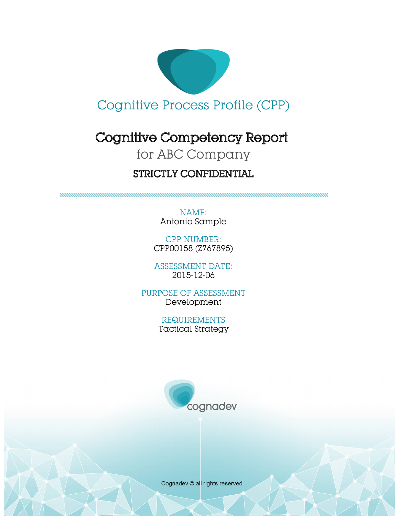

# Cognitive Competency Report

# for ABC Company

# STRICTLY CONFIDENTIAL

NAME: Antonio Sample

CPP NUMBER: CPP00158 (Z767895)

ASSESSMENT DATE: 2015-12-06

PURPOSE OF ASSESSMENT Development

> REQUIREMENTS Tactical Strategy



Cognadev © all rights reserved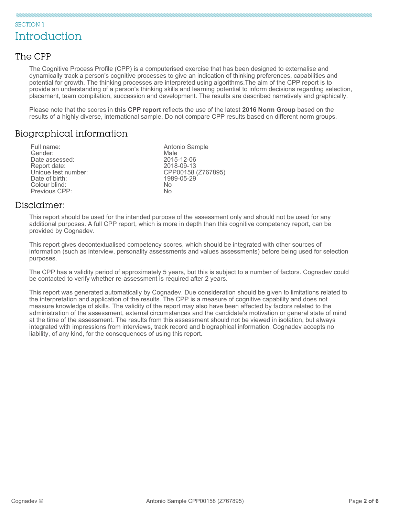#### SECTION 1

# **Introduction**

#### The CPP

The Cognitive Process Profile (CPP) is a computerised exercise that has been designed to externalise and dynamically track a person's cognitive processes to give an indication of thinking preferences, capabilities and potential for growth. The thinking processes are interpreted using algorithms.The aim of the CPP report is to provide an understanding of a person's thinking skills and learning potential to inform decisions regarding selection, placement, team compilation, succession and development. The results are described narratively and graphically.

Please note that the scores in **this CPP report** reflects the use of the latest **2016 Norm Group** based on the results of a highly diverse, international sample. Do not compare CPP results based on different norm groups.

#### Biographical information

Full name: The Contract of the Antonio Sample Sender:<br>
Full name: The Antonio Sample Sender: Gender: Male Date assessed: 2015-12-06 Report date:<br>Unique test number: Date of birth: Colour blind: No Previous CPP:

CPP00158 (Z767895)<br>1989-05-29

#### Disclaimer:

This report should be used for the intended purpose of the assessment only and should not be used for any additional purposes. A full CPP report, which is more in depth than this cognitive competency report, can be provided by Cognadev.

This report gives decontextualised competency scores, which should be integrated with other sources of information (such as interview, personality assessments and values assessments) before being used for selection purposes.

The CPP has a validity period of approximately 5 years, but this is subject to a number of factors. Cognadev could be contacted to verify whether re-assessment is required after 2 years.

This report was generated automatically by Cognadev. Due consideration should be given to limitations related to the interpretation and application of the results. The CPP is a measure of cognitive capability and does not measure knowledge of skills. The validity of the report may also have been affected by factors related to the administration of the assessment, external circumstances and the candidate's motivation or general state of mind at the time of the assessment. The results from this assessment should not be viewed in isolation, but always integrated with impressions from interviews, track record and biographical information. Cognadev accepts no liability, of any kind, for the consequences of using this report.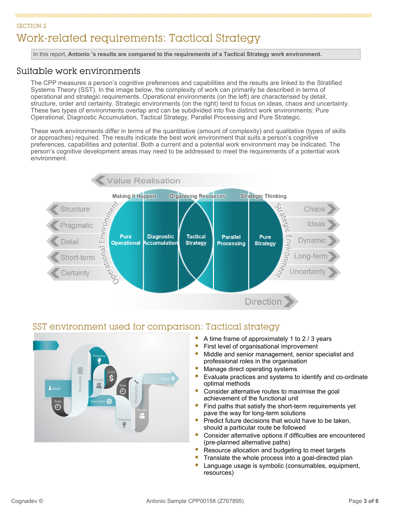### SECTION 2 Work-related requirements: Tactical Strategy

In this report, **Antonio 's results are compared to the requirements of a Tactical Strategy work environment.**

#### Suitable work environments

The CPP measures a person's cognitive preferences and capabilities and the results are linked to the Stratified Systems Theory (SST). In the image below, the complexity of work can primarily be described in terms of operational and strategic requirements. Operational environments (on the left) are characterised by detail, structure, order and certainty. Strategic environments (on the right) tend to focus on ideas, chaos and uncertainty. These two types of environments overlap and can be subdivided into five distinct work environments: Pure Operational, Diagnostic Accumulation, Tactical Strategy, Parallel Processing and Pure Strategic.

These work environments differ in terms of the quantitative (amount of complexity) and qualitative (types of skills or approaches) required. The results indicate the best work environment that suits a person's cognitive preferences, capabilities and potential. Both a current and a potential work environment may be indicated. The person's cognitive development areas may need to be addressed to meet the requirements of a potential work environment.



#### SST environment used for comparison: Tactical strategy



- A time frame of approximately 1 to 2 / 3 years
- First level of organisational improvement
- $\bullet$ Middle and senior management, senior specialist and professional roles in the organisation
- Manage direct operating systems
- Evaluate practices and systems to identify and co-ordinate optimal methods
- Consider alternative routes to maximise the goal achievement of the functional unit
- Find paths that satisfy the short-term requirements yet pave the way for long-term solutions
- Predict future decisions that would have to be taken, should a particular route be followed
- Consider alternative options if difficulties are encountered (pre-planned alternative paths)
- Resource allocation and budgeting to meet targets
- ŏ Translate the whole process into a goal-directed plan
- Language usage is symbolic (consumables, equipment, resources)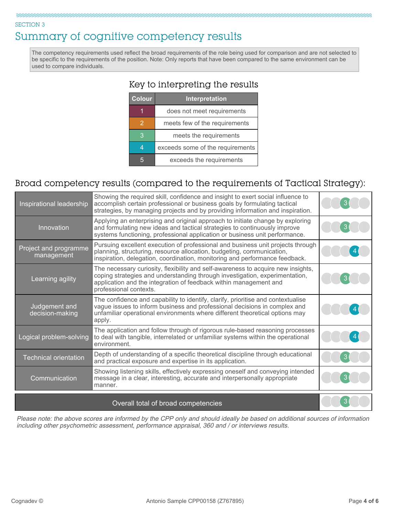#### SECTION 3

# Summary of cognitive competency results

The competency requirements used reflect the broad requirements of the role being used for comparison and are not selected to be specific to the requirements of the position. Note: Only reports that have been compared to the same environment can be used to compare individuals.

#### Key to interpreting the results

| <b>Colour</b> | Interpretation                   |
|---------------|----------------------------------|
|               | does not meet requirements       |
| 2             | meets few of the requirements    |
|               | meets the requirements           |
|               | exceeds some of the requirements |
|               | exceeds the requirements         |
|               |                                  |

### Broad competency results (compared to the requirements of Tactical Strategy):

| Inspirational leadership            | Showing the required skill, confidence and insight to exert social influence to<br>accomplish certain professional or business goals by formulating tactical<br>strategies, by managing projects and by providing information and inspiration.                 |  |
|-------------------------------------|----------------------------------------------------------------------------------------------------------------------------------------------------------------------------------------------------------------------------------------------------------------|--|
| Innovation                          | Applying an enterprising and original approach to initiate change by exploring<br>and formulating new ideas and tactical strategies to continuously improve<br>systems functioning, professional application or business unit performance.                     |  |
| Project and programme<br>management | Pursuing excellent execution of professional and business unit projects through<br>planning, structuring, resource allocation, budgeting, communication,<br>inspiration, delegation, coordination, monitoring and performance feedback.                        |  |
| Learning agility                    | The necessary curiosity, flexibility and self-awareness to acquire new insights,<br>coping strategies and understanding through investigation, experimentation,<br>application and the integration of feedback within management and<br>professional contexts. |  |
| Judgement and<br>decision-making    | The confidence and capability to identify, clarify, prioritise and contextualise<br>vague issues to inform business and professional decisions in complex and<br>unfamiliar operational environments where different theoretical options may<br>apply.         |  |
| Logical problem-solving             | The application and follow through of rigorous rule-based reasoning processes<br>to deal with tangible, interrelated or unfamiliar systems within the operational<br>environment.                                                                              |  |
| <b>Technical orientation</b>        | Depth of understanding of a specific theoretical discipline through educational<br>and practical exposure and expertise in its application.                                                                                                                    |  |
| Communication                       | Showing listening skills, effectively expressing oneself and conveying intended<br>message in a clear, interesting, accurate and interpersonally appropriate<br>manner.                                                                                        |  |
|                                     |                                                                                                                                                                                                                                                                |  |

#### Overall total of broad competencies

Please note: the above scores are informed by the CPP only and should ideally be based on additional sources of information including other psychometric assessment, performance appraisal, 360 and / or interviews results.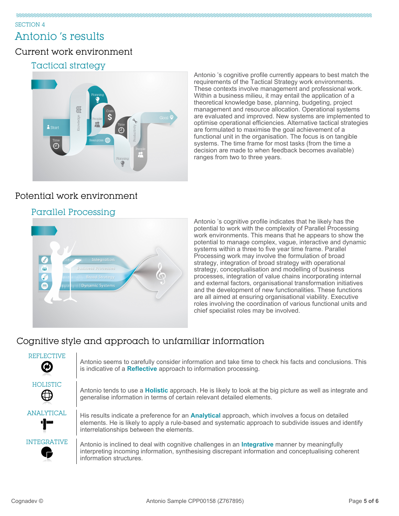# Antonio 's results

#### Current work environment

#### Tactical strategy



Antonio 's cognitive profile currently appears to best match the requirements of the Tactical Strategy work environments. These contexts involve management and professional work. Within a business milieu, it may entail the application of a theoretical knowledge base, planning, budgeting, project management and resource allocation. Operational systems are evaluated and improved. New systems are implemented to optimise operational efficiencies. Alternative tactical strategies are formulated to maximise the goal achievement of a functional unit in the organisation. The focus is on tangible systems. The time frame for most tasks (from the time a decision are made to when feedback becomes available) ranges from two to three years.

### Potential work environment

#### Parallel Processing



Antonio 's cognitive profile indicates that he likely has the potential to work with the complexity of Parallel Processing work environments. This means that he appears to show the potential to manage complex, vague, interactive and dynamic systems within a three to five year time frame. Parallel Processing work may involve the formulation of broad strategy, integration of broad strategy with operational strategy, conceptualisation and modelling of business processes, integration of value chains incorporating internal and external factors, organisational transformation initiatives and the development of new functionalities. These functions are all aimed at ensuring organisational viability. Executive roles involving the coordination of various functional units and chief specialist roles may be involved.

## Cognitive style and approach to unfamiliar information

| REFLECTIVE<br>∅          | Antonio seems to carefully consider information and take time to check his facts and conclusions. This<br>is indicative of a Reflective approach to information processing.                                                                                  |
|--------------------------|--------------------------------------------------------------------------------------------------------------------------------------------------------------------------------------------------------------------------------------------------------------|
| HOLISTIC                 | Antonio tends to use a <b>Holistic</b> approach. He is likely to look at the big picture as well as integrate and<br>generalise information in terms of certain relevant detailed elements.                                                                  |
| <b>ANALYTICAL</b><br>']" | His results indicate a preference for an <b>Analytical</b> approach, which involves a focus on detailed<br>elements. He is likely to apply a rule-based and systematic approach to subdivide issues and identify<br>interrelationships between the elements. |
| <b>INTEGRATIVE</b>       | Antonio is inclined to deal with cognitive challenges in an <b>Integrative</b> manner by meaningfully<br>interpreting incoming information, synthesising discrepant information and conceptualising coherent<br>information structures.                      |